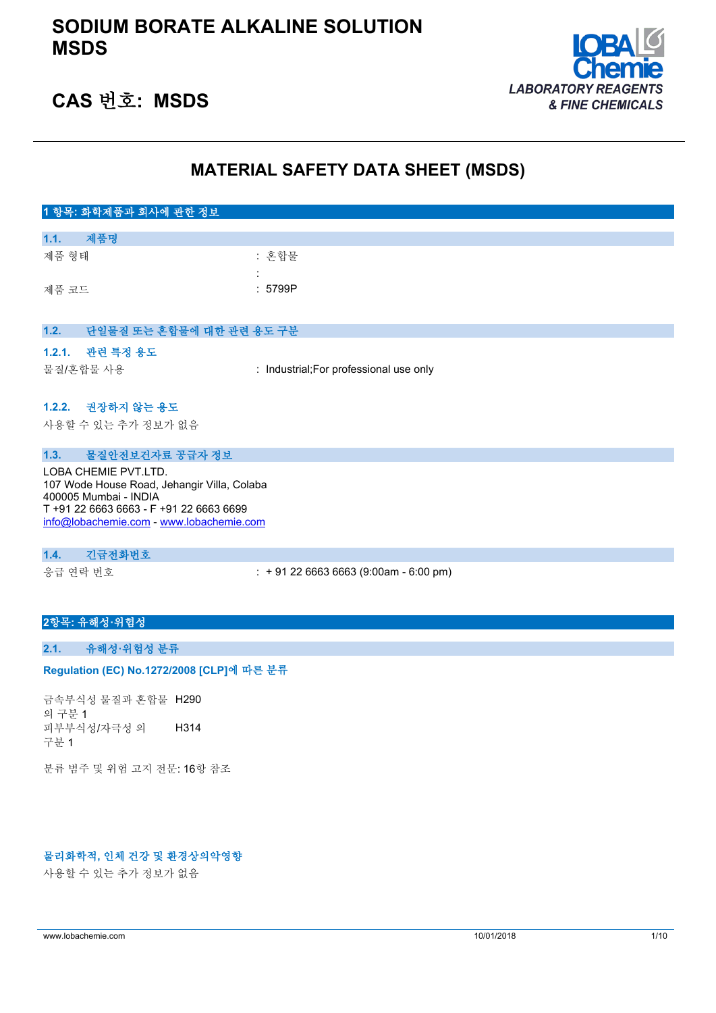

# **CAS 번호: MSDS**

## **MATERIAL SAFETY DATA SHEET (MSDS)**

| 1 항목: 화학제품과 회사에 관한 정보                       |                                         |
|---------------------------------------------|-----------------------------------------|
|                                             |                                         |
| 제품명<br>1.1.                                 |                                         |
| 제품 형태                                       | : 혼합물                                   |
|                                             |                                         |
| 제품 코드                                       | : 5799P                                 |
|                                             |                                         |
|                                             |                                         |
| 단일물질 또는 혼합물에 대한 관련 용도 구분<br>1.2.            |                                         |
|                                             |                                         |
| 관련 특정 용도<br>1.2.1.                          |                                         |
| 물질/혼합물 사용                                   | : Industrial; For professional use only |
|                                             |                                         |
|                                             |                                         |
| 1.2.2. 권장하지 않는 용도                           |                                         |
| 사용할 수 있는 추가 정보가 없음                          |                                         |
|                                             |                                         |
| 물질안전보건자료 공급자 정보<br>1.3.                     |                                         |
| LOBA CHEMIE PVT.LTD.                        |                                         |
| 107 Wode House Road, Jehangir Villa, Colaba |                                         |
| 400005 Mumbai - INDIA                       |                                         |

T +91 22 6663 6663 - F +91 22 6663 6699 [info@lobachemie.com](mailto:info@lobachemie.com) - <www.lobachemie.com>

#### **1.4. 긴급전화번호**

응급 연락 번호 : + 91 22 6663 6663 (9:00am - 6:00 pm)

### **2항목: 유해성·위험성**

#### **2.1. 유해성·위험성 분류**

#### Regulation (EC) No.1272/2008 [CLP]에 따른 분류

금속부식성 물질과 혼합물 H290 의 구분 1 피부부식성/자극성 의 구분 1 H314

분류 범주 및 위험 고지 전문: 16항 참조

#### **물리화학적, 인체 건강 및 환경상의악영향**

사용할 수 있는 추가 정보가 없음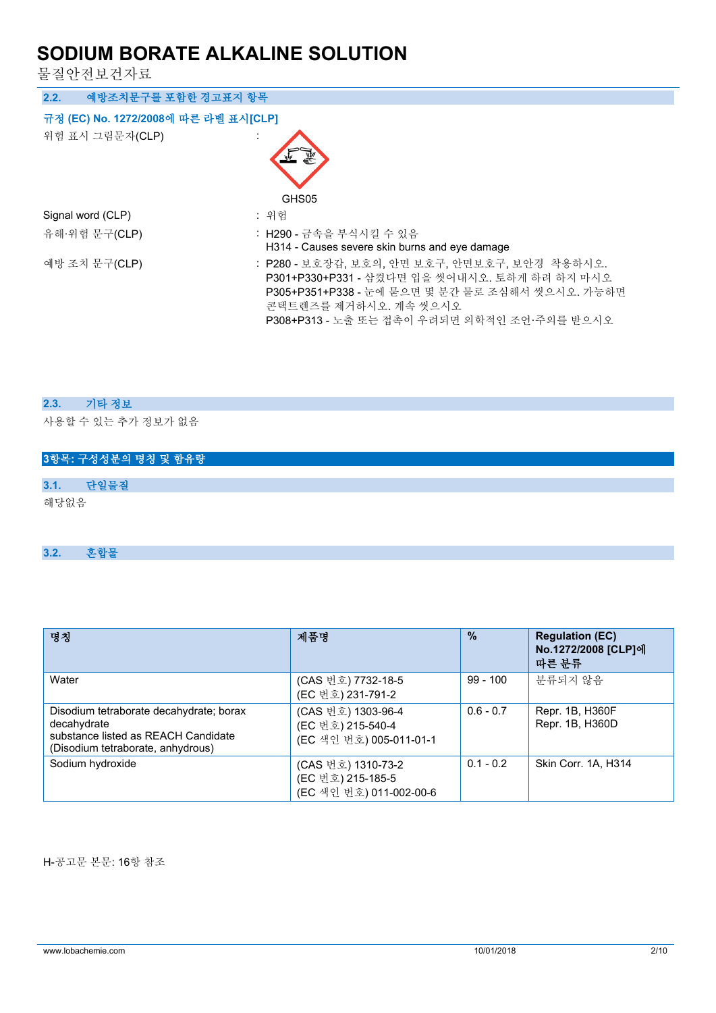물질안전보건자료

| 예방조치문구를 포함한 경고표지 항목<br>2.2.          |                                                                                                                                                                                                                           |
|--------------------------------------|---------------------------------------------------------------------------------------------------------------------------------------------------------------------------------------------------------------------------|
| 규정 (EC) No. 1272/2008에 따른 라벨 표시[CLP] |                                                                                                                                                                                                                           |
| 위험 표시 그림문자(CLP)                      |                                                                                                                                                                                                                           |
|                                      | GHS05                                                                                                                                                                                                                     |
| Signal word (CLP)                    | : 위험                                                                                                                                                                                                                      |
| 유해·위험 문구(CLP)                        | : H290 - 금속을 부식시킬 수 있음<br>H314 - Causes severe skin burns and eye damage                                                                                                                                                  |
| 예방 조치 문구(CLP)                        | : P280 - 보호장갑, 보호의, 안면 보호구, 안면보호구, 보안경 착용하시오.<br>P301+P330+P331 - 삼켰다면 입을 씻어내시오. 토하게 하려 하지 마시오<br>P305+P351+P338 - 눈에 묻으면 몇 분간 물로 조심해서 씻으시오. 가능하면<br>콘택트렌즈를 제거하시오. 계속 씻으시오<br>P308+P313 - 노출 또는 접촉이 우려되면 의학적인 조언·주의를 받으시오 |

### **2.3. 기타 정보**

사용할 수 있는 추가 정보가 없음

# **3항목: 구성성분의 명칭 및 함유량 3.1. 단일물질** 해당없음

### **3.2. 혼합물**

| 명칭                                                                                                                                 | 제품명                                                                | $\frac{9}{6}$ | <b>Regulation (EC)</b><br>No.1272/2008 [CLP]에<br>따른 분류 |
|------------------------------------------------------------------------------------------------------------------------------------|--------------------------------------------------------------------|---------------|--------------------------------------------------------|
| Water                                                                                                                              | (CAS 번호) 7732-18-5<br>(EC 번호) 231-791-2                            | $99 - 100$    | 분류되지 않음                                                |
| Disodium tetraborate decahydrate; borax<br>decahydrate<br>substance listed as REACH Candidate<br>(Disodium tetraborate, anhydrous) | (CAS 번호) 1303-96-4<br>(EC 번호) 215-540-4<br>(EC 색인 번호) 005-011-01-1 | $0.6 - 0.7$   | Repr. 1B, H360F<br>Repr. 1B, H360D                     |
| Sodium hydroxide                                                                                                                   | (CAS 번호) 1310-73-2<br>(EC 번호) 215-185-5<br>(EC 색인 번호) 011-002-00-6 | $0.1 - 0.2$   | Skin Corr. 1A, H314                                    |

H-공고문 본문: 16항 참조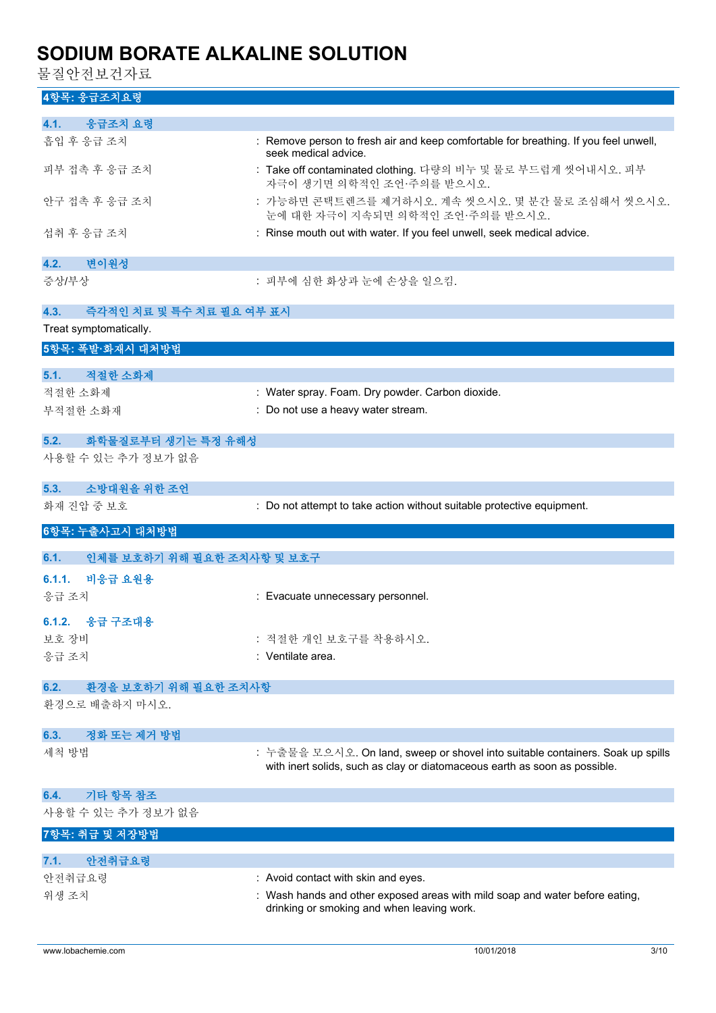물질안전보건자료

## **4항목: 응급조치요령**

| 4.1.<br>응급조치 요령                    |                                                                                                                                                              |
|------------------------------------|--------------------------------------------------------------------------------------------------------------------------------------------------------------|
| 흡입 후 응급 조치                         | : Remove person to fresh air and keep comfortable for breathing. If you feel unwell,<br>seek medical advice.                                                 |
| 피부 접촉 후 응급 조치                      | : Take off contaminated clothing. 다량의 비누 및 물로 부드럽게 씻어내시오. 피부<br>자극이 생기면 의학적인 조언·주의를 받으시오.                                                                    |
| 안구 접촉 후 응급 조치                      | : 가능하면 콘택트렌즈를 제거하시오. 계속 씻으시오. 몇 분간 물로 조심해서 씻으시오.<br>눈에 대한 자극이 지속되면 의학적인 조언·주의를 받으시오.                                                                         |
| 섭취 후 응급 조치                         | : Rinse mouth out with water. If you feel unwell, seek medical advice.                                                                                       |
| 변이원성<br>4.2.                       |                                                                                                                                                              |
| 증상/부상                              | : 피부에 심한 화상과 눈에 손상을 일으킴.                                                                                                                                     |
|                                    |                                                                                                                                                              |
| 즉각적인 치료 및 특수 치료 필요 여부 표시<br>4.3.   |                                                                                                                                                              |
| Treat symptomatically.             |                                                                                                                                                              |
| 5항목: 폭발·화재시 대처방법                   |                                                                                                                                                              |
| 적절한 소화제<br>5.1.                    |                                                                                                                                                              |
| 적절한 소화제                            | : Water spray. Foam. Dry powder. Carbon dioxide.                                                                                                             |
|                                    | : Do not use a heavy water stream.                                                                                                                           |
| 부적절한 소화재                           |                                                                                                                                                              |
| 5.2.<br>화학물질로부터 생기는 특정 유해성         |                                                                                                                                                              |
| 사용할 수 있는 추가 정보가 없음                 |                                                                                                                                                              |
|                                    |                                                                                                                                                              |
| 소방대원을 위한 조언<br>5.3.                |                                                                                                                                                              |
| 화재 진압 중 보호                         | : Do not attempt to take action without suitable protective equipment.                                                                                       |
|                                    |                                                                                                                                                              |
| 6항목: 누출사고시 대처방법                    |                                                                                                                                                              |
|                                    |                                                                                                                                                              |
| 6.1.<br>인체를 보호하기 위해 필요한 조치사항 및 보호구 |                                                                                                                                                              |
| 비응급 요원용<br>6.1.1.                  |                                                                                                                                                              |
| 응급 조치                              | : Evacuate unnecessary personnel.                                                                                                                            |
| 응급 구조대용<br>6.1.2.                  |                                                                                                                                                              |
| 보호 장비                              | : 적절한 개인 보호구를 착용하시오.                                                                                                                                         |
| 응급 조치                              | : Ventilate area.                                                                                                                                            |
|                                    |                                                                                                                                                              |
| 환경을 보호하기 위해 필요한 조치사항<br>6.2.       |                                                                                                                                                              |
| 환경으로 배출하지 마시오.                     |                                                                                                                                                              |
| 정화 또는 제거 방법<br>6.3.                |                                                                                                                                                              |
| 세척 방법                              | : 누출물을 모으시오. On land, sweep or shovel into suitable containers. Soak up spills<br>with inert solids, such as clay or diatomaceous earth as soon as possible. |
| 기타 항목 참조<br>6.4.                   |                                                                                                                                                              |
| 사용할 수 있는 추가 정보가 없음                 |                                                                                                                                                              |
| 7항목: 취급 및 저장방법                     |                                                                                                                                                              |
| 7.1.                               |                                                                                                                                                              |
| 안전취급요령                             |                                                                                                                                                              |
| 안전취급요령<br>위생 조치                    | : Avoid contact with skin and eyes.<br>: Wash hands and other exposed areas with mild soap and water before eating,                                          |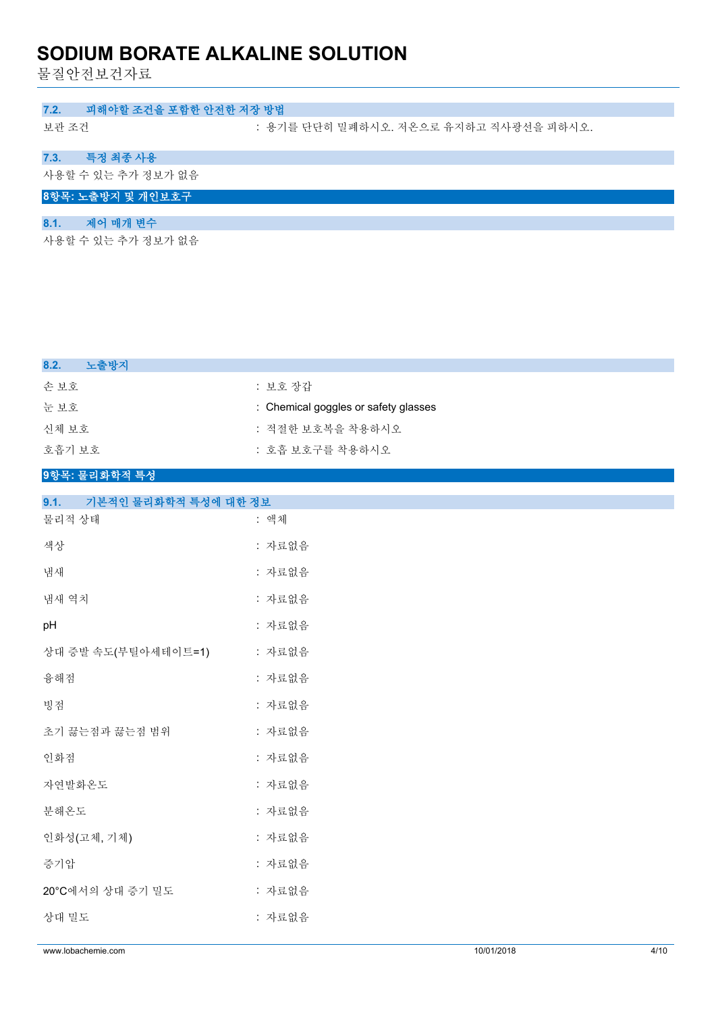물질안전보건자료

### **7.2. 피해야할 조건을 포함한 안전한 저장 방법**

보관 조건 : 용기를 단단히 밀폐하시오. 저온으로 유지하고 직사광선을 피하시오.

## **7.3. 특정 최종 사용**

사용할 수 있는 추가 정보가 없음

## **8항목: 노출방지 및 개인보호구**

## **8.1. 제어 매개 변수**

사용할 수 있는 추가 정보가 없음

| 8.2.<br>노출방지  |                                      |
|---------------|--------------------------------------|
| 손 보호          | : 보호 장갑                              |
| 눈 보호          | : Chemical goggles or safety glasses |
| 신체 보호         | : 적절한 보호복을 착용하시오                     |
| 호흡기 보호        | : 호흡 보호구를 착용하시오                      |
| 9항목: 물리화학적 특성 |                                      |

| 기본적인 물리화학적 특성에 대한 정보<br>9.1. |        |
|------------------------------|--------|
| 물리적 상태                       | : 액체   |
| 색상                           | : 자료없음 |
| 냄새                           | : 자료없음 |
| 냄새 역치                        | : 자료없음 |
| pH                           | : 자료없음 |
| 상대 증발 속도(부틸아세테이트=1)          | : 자료없음 |
| 융해점                          | : 자료없음 |
| 빙점                           | : 자료없음 |
| 초기 끓는점과 끓는점 범위               | : 자료없음 |
| 인화점                          | : 자료없음 |
| 자연발화온도                       | : 자료없음 |
| 분해온도                         | : 자료없음 |
| 인화성(고체, 기체)                  | : 자료없음 |
| 증기압                          | : 자료없음 |
| 20°C에서의 상대 증기 밀도             | : 자료없음 |
| 상대 밀도                        | : 자료없음 |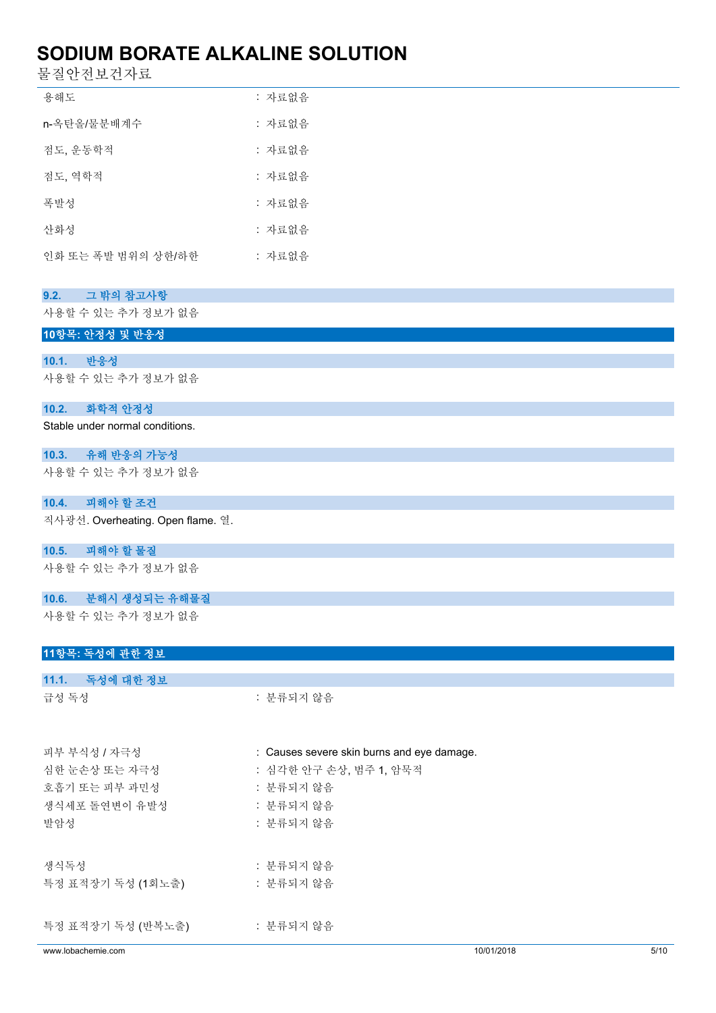물질안전보건자료

| 용해도                | : 자료없음 |
|--------------------|--------|
| n-옥탄올/물분배계수        | : 자료없음 |
| 점도, 운동학적           | : 자료없음 |
| 점도, 역학적            | : 자료없음 |
| 폭발성                | : 자료없음 |
| 사화성                | : 자료없음 |
| 인화 또는 폭발 범위의 상한/하한 | : 자료없음 |

| 그 밖의 참고사항<br>9.2.                 |           |
|-----------------------------------|-----------|
| 사용할 수 있는 추가 정보가 없음                |           |
| 10항목: 안정성 및 반응성                   |           |
|                                   |           |
| 10.1. 반응성                         |           |
| 사용할 수 있는 추가 정보가 없음                |           |
| 화학적 안정성<br>10.2.                  |           |
| Stable under normal conditions.   |           |
| 10.3. 유해 반응의 가능성                  |           |
| 사용할 수 있는 추가 정보가 없음                |           |
| 피해야 할 조건<br>10.4.                 |           |
| 직사광선. Overheating. Open flame. 열. |           |
| 10.5. 피해야 할 물질                    |           |
| 사용할 수 있는 추가 정보가 없음                |           |
| 10.6. 분해시 생성되는 유해물질               |           |
| 사용할 수 있는 추가 정보가 없음                |           |
| 11항목: 독성에 관한 정보                   |           |
| 11.1. 독성에 대한 정보                   |           |
| 급성 독성                             | : 분류되지 않음 |
|                                   |           |

| 피부 부식성 / 자극성       | : Causes severe skin burns and eye damage. |            |      |
|--------------------|--------------------------------------------|------------|------|
| 심한 눈손상 또는 자극성      | : 심각한 안구 손상, 범주 1, 암묵적                     |            |      |
| 호흡기 또는 피부 과민성      | : 분류되지 않음                                  |            |      |
| 생식세포 돌연변이 유발성      | : 분류되지 않음                                  |            |      |
| 발암성                | : 분류되지 않음                                  |            |      |
|                    |                                            |            |      |
| 생식독성               | : 분류되지 않음                                  |            |      |
| 특정 표적장기 독성 (1회노출)  | : 분류되지 않음                                  |            |      |
|                    |                                            |            |      |
| 특정 표적장기 독성 (반복노출)  | : 분류되지 않음                                  |            |      |
|                    |                                            |            |      |
| www.lobachemie.com |                                            | 10/01/2018 | 5/10 |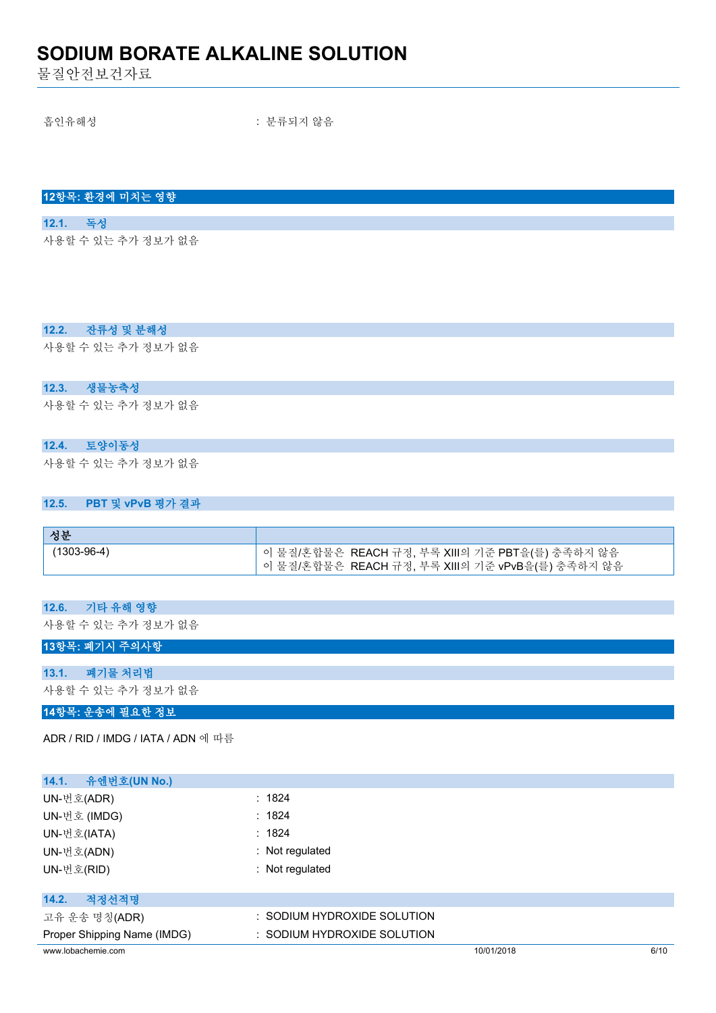물질안전보건자료

흡인유해성 : 분류되지 않음

| 12항목: 환경에 미치는 영향 |  |
|------------------|--|

#### **12.1. 독성**

사용할 수 있는 추가 정보가 없음

#### **12.2. 잔류성 및 분해성**

사용할 수 있는 추가 정보가 없음

#### **12.3. 생물농축성**

사용할 수 있는 추가 정보가 없음

### **12.4. 토양이동성**

사용할 수 있는 추가 정보가 없음

#### **12.5. PBT 및 vPvB 평가 결과**

| 성분          |                                                                                                        |
|-------------|--------------------------------------------------------------------------------------------------------|
| (1303-96-4) | └ 이 물질/혼합물은 REACH 규정, 부록 XIII의 기준 PBT을(를) 충족하지 않음<br>│ 이 물질/혼합물은  REACH 규정, 부록 XⅢ의 기준 vPvB을(를) 충족하지 않음 |

#### **12.6. 기타 유해 영향**

사용할 수 있는 추가 정보가 없음

#### **13항목: 폐기시 주의사항**

**13.1. 폐기물 처리법** 사용할 수 있는 추가 정보가 없음

#### **14항목: 운송에 필요한 정보**

ADR / RID / IMDG / IATA / ADN 에 따름

| 유엔번호(UN No.)<br>14.1.       |                                        |            |      |
|-----------------------------|----------------------------------------|------------|------|
| UN-번호(ADR)                  | : 1824                                 |            |      |
| UN-번호 (IMDG)                | : 1824                                 |            |      |
| UN-번호(IATA)                 | : 1824                                 |            |      |
| UN-번호(ADN)                  | : Not regulated                        |            |      |
| UN-번호(RID)                  | : Not regulated                        |            |      |
|                             |                                        |            |      |
| 적정선적명<br>14.2.              |                                        |            |      |
| 고유 운송 명칭(ADR)               | : SODIUM HYDROXIDE SOLUTION            |            |      |
| Proper Shipping Name (IMDG) | $\therefore$ SODIUM HYDROXIDE SOLUTION |            |      |
| www.lobachemie.com          |                                        | 10/01/2018 | 6/10 |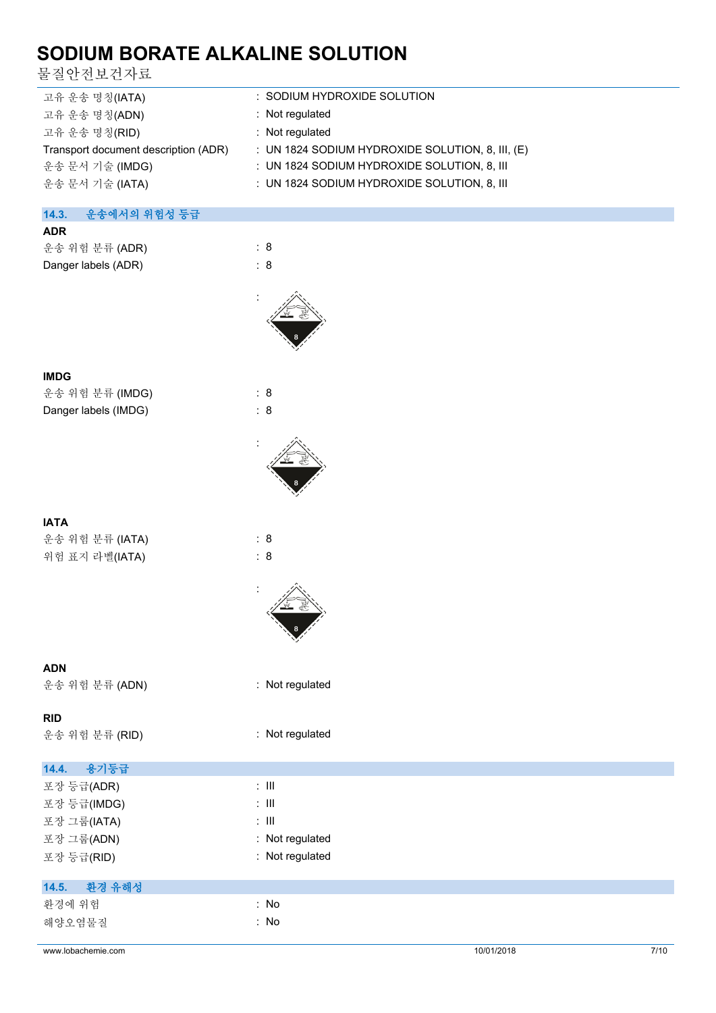물질안전보건자료

| 고유 운송 명칭(IATA)                       | : SODIUM HYDROXIDE SOLUTION                        |
|--------------------------------------|----------------------------------------------------|
| 고유 운송 명칭(ADN)                        | : Not regulated                                    |
| 고유 운송 명칭(RID)                        | : Not regulated                                    |
| Transport document description (ADR) | : UN 1824 SODIUM HYDROXIDE SOLUTION, 8, III, $(E)$ |
| 운송 문서 기술 (IMDG)                      | : UN 1824 SODIUM HYDROXIDE SOLUTION, 8, III        |
| 운송 문서 기술 (IATA)                      | : UN 1824 SODIUM HYDROXIDE SOLUTION, 8, III        |
|                                      |                                                    |
| 14.3.<br>운송에서의 위험성 등급                |                                                    |
| <b>ADR</b>                           |                                                    |

| AUR                 |     |
|---------------------|-----|
| 운송 위험 분류 (ADR)      | : 8 |
| Danger labels (ADR) | : 8 |



### **IMDG**

운송 위험 분류 (IMDG) : 8 Danger labels (IMDG) : 8

| 운송 위험 분류 (IATA) | : 8 |
|-----------------|-----|
| 위험 표지 라벨(IATA)  | : 8 |



:



### **ADN**

운송 위험 분류 (ADN) : Not regulated

### **RID**

운송 위험 분류 (RID) : Not regulated

| 14.4.<br>용기등급 |                  |
|---------------|------------------|
| 포장 등급(ADR)    | $\therefore$ III |
| 포장 등급(IMDG)   | $\therefore$ III |
| 포장 그룹(IATA)   | $\therefore$ III |
| 포장 그룹(ADN)    | : Not regulated  |
| 포장 등급(RID)    | : Not regulated  |
|               |                  |
| 14.5. 환경 유해성  |                  |
| 환경에 위험        | : No             |
| 해양오염물질        | : No             |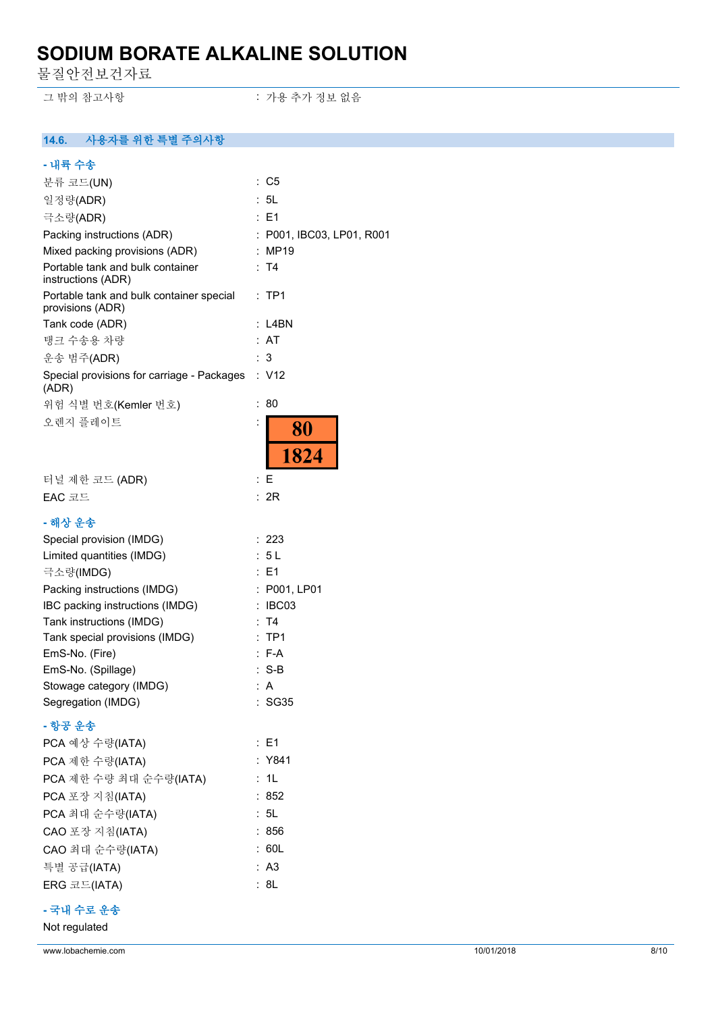물질안전보건자료

그 밖의 참고사항 ٢ 기능 표현 : 가용 추가 정보 없음

## **14.6. 사용자를 위한 특별 주의사항**

| - 내륙 수송                                                      |                              |
|--------------------------------------------------------------|------------------------------|
| 분류 코드(UN)                                                    | $\therefore$ C5              |
| 일정량(ADR)                                                     | : 5L                         |
| 극소량(ADR)                                                     | :E1                          |
| Packing instructions (ADR)                                   | : P001, IBC03, LP01, R001    |
| Mixed packing provisions (ADR)                               | : MP19                       |
| Portable tank and bulk container<br>instructions (ADR)       | : T4                         |
| Portable tank and bulk container special<br>provisions (ADR) | : TP1                        |
| Tank code (ADR)                                              | : L4BN                       |
| 탱크 수송용 차량                                                    | : AT                         |
| 운송 범주(ADR)                                                   | : 3                          |
| Special provisions for carriage - Packages<br>(ADR)          | : V12                        |
| 위험 식별 번호(Kemler 번호)                                          | 80<br>t.                     |
| 오렌지 플레이트                                                     | $\ddot{\cdot}$<br>80<br>1824 |
| 터널 제한 코드 (ADR)                                               | : E                          |
| EAC 코드                                                       | : 2R                         |
|                                                              |                              |
| - 해상 운송                                                      |                              |
| Special provision (IMDG)                                     | : 223                        |
| Limited quantities (IMDG)                                    | : 5 L                        |
| 극소량(IMDG)                                                    | : E1                         |
| Packing instructions (IMDG)                                  | : P001, LP01                 |
| IBC packing instructions (IMDG)<br>Tank instructions (IMDG)  | : IBC03<br>: T4              |
| Tank special provisions (IMDG)                               | $:$ TP1                      |
| EmS-No. (Fire)                                               | $: F-A$                      |
| EmS-No. (Spillage)                                           | : S-B                        |
| Stowage category (IMDG)                                      | : A                          |
| Segregation (IMDG)                                           | : SG35                       |
| - 항공 운송                                                      |                              |
| PCA 예상 수량(IATA)                                              | : E1                         |
| PCA 제한 수량(IATA)                                              | : Y841                       |
| PCA 제한 수량 최대 순수량(IATA)                                       | : 1L                         |
| PCA 포장 지침(IATA)                                              | :852                         |
| PCA 최대 순수량(IATA)                                             | : 5L                         |
| CAO 포장 지침(IATA)                                              | : 856                        |
| CAO 최대 순수량(IATA)                                             | : 60L                        |
| 특별 공급(IATA)                                                  | : A3                         |
| ERG 코드(IATA)                                                 | : 8L                         |
|                                                              |                              |

## **- 국내 수로 운송**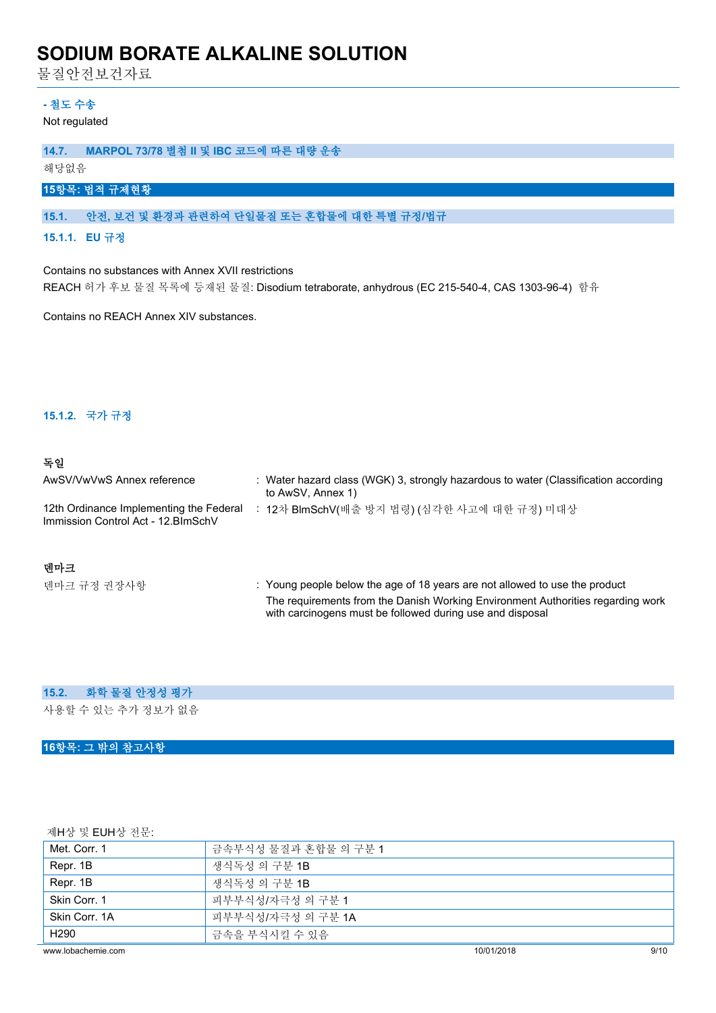물질안전보건자료

#### **- 철도 수송**

Not regulated

#### **14.7. MARPOL 73/78 별첨 II 및 IBC 코드에 따른 대량 운송**

해당없음

### **15항목: 법적 규제현황**

#### **15.1. 안전, 보건 및 환경과 관련하여 단일물질 또는 혼합물에 대한 특별 규정/법규**

**15.1.1. EU 규정**

Contains no substances with Annex XVII restrictions REACH 허가 후보 물질 목록에 등재된 물질: Disodium tetraborate, anhydrous (EC 215-540-4, CAS 1303-96-4) 함유

Contains no REACH Annex XIV substances.

#### **15.1.2. 국가 규정**

#### **독일**

| AwSV/VwVwS Annex reference                                                     | : Water hazard class (WGK) 3, strongly hazardous to water (Classification according<br>to AwSV, Annex 1)            |
|--------------------------------------------------------------------------------|---------------------------------------------------------------------------------------------------------------------|
| 12th Ordinance Implementing the Federal<br>Immission Control Act - 12. BlmSchV | 12차 BlmSchV(배출 방지 법령) (심각한 사고에 대한 규정) 미대상                                                                           |
| 데마크<br>-피-그 -그 -그 -그 -그 그 -그                                                   | المتحاد ومعراق والانتجاب وبالمستحدث والمناقصة والمتحدث والمتناقص والمستحدث والمستحدث والمتحدث والمتحادين والمتحالات |

#### 텐마크 규정 권장사항 **(busing the Unity Coung people below the age of 18 years are not allowed to use the product** The requirements from the Danish Working Environment Authorities regarding work with carcinogens must be followed during use and disposal

#### **15.2. 화학 물질 안정성 평가**

사용할 수 있는 추가 정보가 없음

#### **16항목: 그 밖의 참고사항**

제H상 및 EUH상 전문:

| www.lobachemie.com | 10/01/2018           | 9/10 |
|--------------------|----------------------|------|
| H <sub>290</sub>   | 금속을 부식시킬 수 있음        |      |
| Skin Corr. 1A      | 피부부식성/자극성 의 구분 1A    |      |
| Skin Corr. 1       | 피부부식성/자극성 의 구분 1     |      |
| Repr. 1B           | 생식독성 의 구분 1B         |      |
| Repr. 1B           | 생식독성 의 구분 <b>1B</b>  |      |
| Met. Corr. 1       | 금속부식성 물질과 혼합물 의 구분 1 |      |